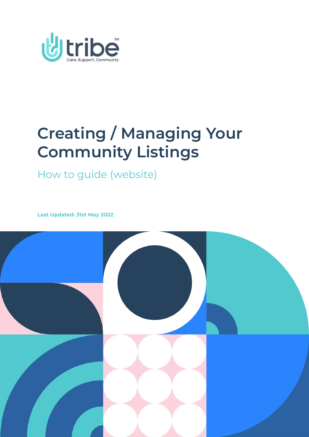

## **Creating / Managing Your Community Listings**

How to guide (website)

**Last Updated: 31st May 2022**

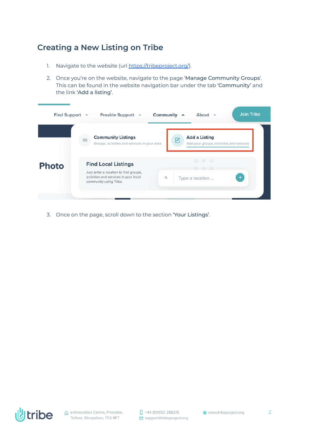## **Creating a New Listing on Tribe**

- 1. Navigate to the website (url <https://tribeproject.org/>).
- 2. Once you're on the website, navigate to the page 'Manage Community Groups'. This can be found in the website navigation bar under the tab 'Community' and the link 'Add a listing'.

| Find Support $\vee$ | Provide Support v                                                                                                                      | <b>Join Tribe</b><br>Community ^<br>About $\vee$                 |
|---------------------|----------------------------------------------------------------------------------------------------------------------------------------|------------------------------------------------------------------|
|                     | <b>Community Listings</b><br>冷<br>Groups, activities and services in your area                                                         | <b>Add a Listing</b><br>Add your groups, activities and services |
| <b>Photo</b>        | <b>Find Local Listings</b><br>Just enter a location to find groups,<br>activities and services in your local<br>community using Tribe. | OH 1<br>m<br>$\alpha$<br>Type a location                         |
|                     |                                                                                                                                        |                                                                  |

3. Once on the page, scroll down to the section 'Your Listings'.

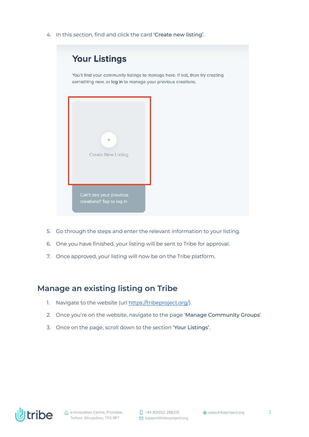4. In this section, find and click the card 'Create new listing'.



- 5. Go through the steps and enter the relevant information to your listing.
- 6. One you have finished, your listing will be sent to Tribe for approval.
- 7. Once approved, your listing will now be on the Tribe platform.

## **Manage an existing listing on Tribe**

- 1. Navigate to the website (url <https://tribeproject.org/>).
- 2. Once you're on the website, navigate to the page 'Manage Community Groups'
- 3. Once on the page, scroll down to the section 'Your Listings'.

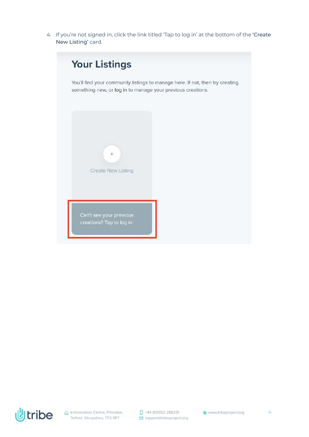4. If you're not signed in, click the link titled 'Tap to log in' at the bottom of the 'Create New Listing' card.